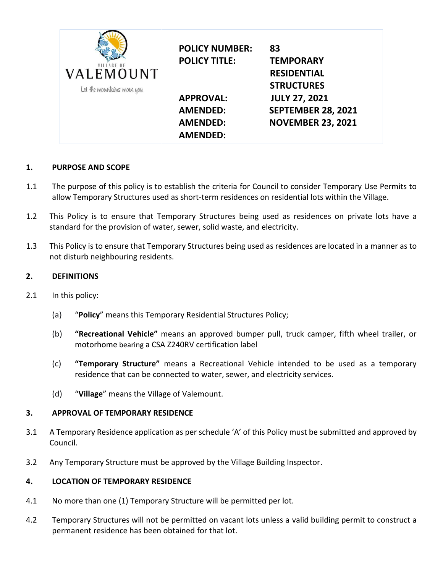## **1. PURPOSE AND SCOPE**

- 1.1 The purpose of this policy is to establish the criteria for Council to consider Temporary Use Permits to allow Temporary Structures used as short-term residences on residential lots within the Village.
- 1.2 This Policy is to ensure that Temporary Structures being used as residences on private lots have a standard for the provision of water, sewer, solid waste, and electricity.
- 1.3 This Policy is to ensure that Temporary Structures being used as residences are located in a manner as to not disturb neighbouring residents.

## **2. DEFINITIONS**

- 2.1 In this policy:
	- (a) "**Policy**" means this Temporary Residential Structures Policy;
	- (b) **"Recreational Vehicle"** means an approved bumper pull, truck camper, fifth wheel trailer, or motorhome bearing a CSA Z240RV certification label
	- (c) **"Temporary Structure"** means a Recreational Vehicle intended to be used as a temporary residence that can be connected to water, sewer, and electricity services.
	- (d) "**Village**" means the Village of Valemount.

# **3. APPROVAL OF TEMPORARY RESIDENCE**

- 3.1 A Temporary Residence application as per schedule 'A' of this Policy must be submitted and approved by Council.
- 3.2 Any Temporary Structure must be approved by the Village Building Inspector.

# **4. LOCATION OF TEMPORARY RESIDENCE**

- 4.1 No more than one (1) Temporary Structure will be permitted per lot.
- 4.2 Temporary Structures will not be permitted on vacant lots unless a valid building permit to construct a permanent residence has been obtained for that lot.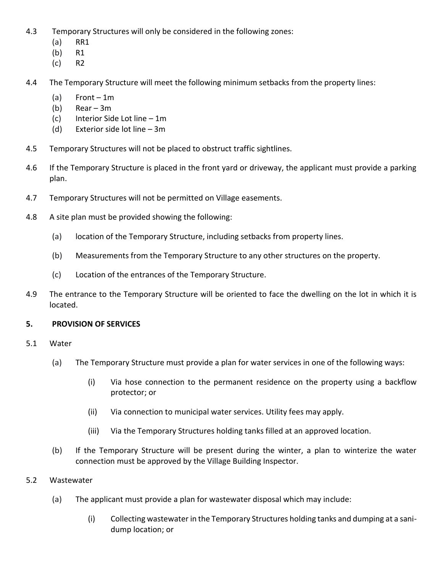- 4.3 Temporary Structures will only be considered in the following zones:
	- (a) RR1
	- (b) R1
	- (c) R2
- 4.4 The Temporary Structure will meet the following minimum setbacks from the property lines:
	- $(a)$  Front 1m
	- (b) Rear 3m
	- (c) Interior Side Lot line 1m
	- (d) Exterior side lot line 3m
- 4.5 Temporary Structures will not be placed to obstruct traffic sightlines.
- 4.6 If the Temporary Structure is placed in the front yard or driveway, the applicant must provide a parking plan.
- 4.7 Temporary Structures will not be permitted on Village easements.
- 4.8 A site plan must be provided showing the following:
	- (a) location of the Temporary Structure, including setbacks from property lines.
	- (b) Measurements from the Temporary Structure to any other structures on the property.
	- (c) Location of the entrances of the Temporary Structure.
- 4.9 The entrance to the Temporary Structure will be oriented to face the dwelling on the lot in which it is located.

## **5. PROVISION OF SERVICES**

- 5.1 Water
	- (a) The Temporary Structure must provide a plan for water services in one of the following ways:
		- (i) Via hose connection to the permanent residence on the property using a backflow protector; or
		- (ii) Via connection to municipal water services. Utility fees may apply.
		- (iii) Via the Temporary Structures holding tanks filled at an approved location.
	- (b) If the Temporary Structure will be present during the winter, a plan to winterize the water connection must be approved by the Village Building Inspector.
- 5.2 Wastewater
	- (a) The applicant must provide a plan for wastewater disposal which may include:
		- (i) Collecting wastewater in the Temporary Structures holding tanks and dumping at a sanidump location; or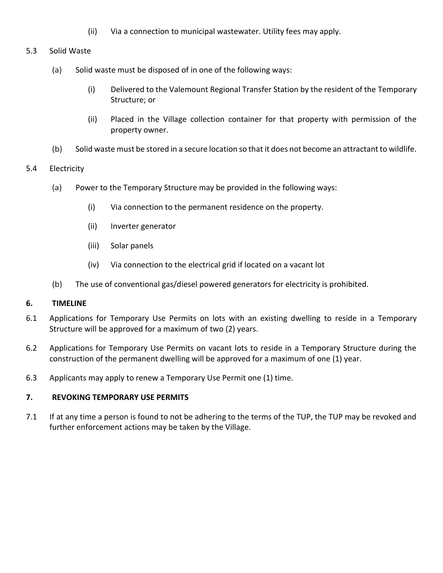(ii) Via a connection to municipal wastewater. Utility fees may apply.

### 5.3 Solid Waste

- (a) Solid waste must be disposed of in one of the following ways:
	- (i) Delivered to the Valemount Regional Transfer Station by the resident of the Temporary Structure; or
	- (ii) Placed in the Village collection container for that property with permission of the property owner.
- (b) Solid waste must be stored in a secure location so that it does not become an attractant to wildlife.

## 5.4 Electricity

- (a) Power to the Temporary Structure may be provided in the following ways:
	- (i) Via connection to the permanent residence on the property.
	- (ii) Inverter generator
	- (iii) Solar panels
	- (iv) Via connection to the electrical grid if located on a vacant lot
- (b) The use of conventional gas/diesel powered generators for electricity is prohibited.

### **6. TIMELINE**

- 6.1 Applications for Temporary Use Permits on lots with an existing dwelling to reside in a Temporary Structure will be approved for a maximum of two (2) years.
- 6.2 Applications for Temporary Use Permits on vacant lots to reside in a Temporary Structure during the construction of the permanent dwelling will be approved for a maximum of one (1) year.
- 6.3 Applicants may apply to renew a Temporary Use Permit one (1) time.

### **7. REVOKING TEMPORARY USE PERMITS**

7.1 If at any time a person is found to not be adhering to the terms of the TUP, the TUP may be revoked and further enforcement actions may be taken by the Village.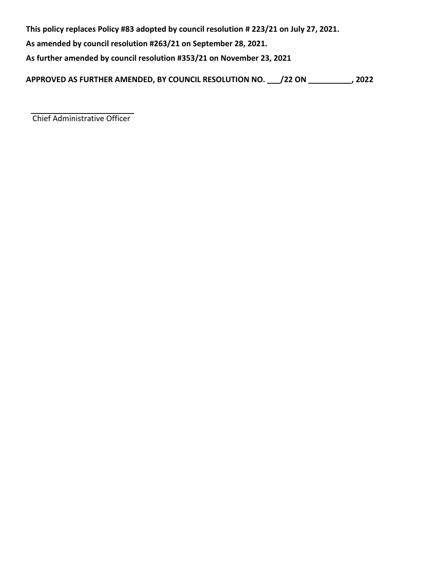**This policy replaces Policy #83 adopted by council resolution # 223/21 on July 27, 2021. As amended by council resolution #263/21 on September 28, 2021. As further amended by council resolution #353/21 on November 23, 2021**

**APPROVED AS FURTHER AMENDED, BY COUNCIL RESOLUTION NO. \_\_\_/22 ON \_\_\_\_\_\_\_\_\_\_, 2022**

Chief Administrative Officer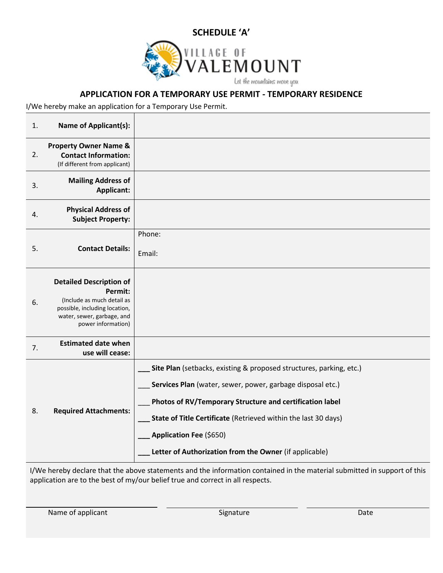

## **APPLICATION FOR A TEMPORARY USE PERMIT - TEMPORARY RESIDENCE**

I/We hereby make an application for a Temporary Use Permit.

| 1. | <b>Name of Applicant(s):</b>                                                                                                                                 |                                                                                                                                                                                                                                                                                                                                                      |  |
|----|--------------------------------------------------------------------------------------------------------------------------------------------------------------|------------------------------------------------------------------------------------------------------------------------------------------------------------------------------------------------------------------------------------------------------------------------------------------------------------------------------------------------------|--|
| 2. | <b>Property Owner Name &amp;</b><br><b>Contact Information:</b><br>(If different from applicant)                                                             |                                                                                                                                                                                                                                                                                                                                                      |  |
| 3. | <b>Mailing Address of</b><br><b>Applicant:</b>                                                                                                               |                                                                                                                                                                                                                                                                                                                                                      |  |
| 4. | <b>Physical Address of</b><br><b>Subject Property:</b>                                                                                                       |                                                                                                                                                                                                                                                                                                                                                      |  |
| 5. | <b>Contact Details:</b>                                                                                                                                      | Phone:<br>Email:                                                                                                                                                                                                                                                                                                                                     |  |
| 6. | <b>Detailed Description of</b><br>Permit:<br>(Include as much detail as<br>possible, including location,<br>water, sewer, garbage, and<br>power information) |                                                                                                                                                                                                                                                                                                                                                      |  |
| 7. | <b>Estimated date when</b><br>use will cease:                                                                                                                |                                                                                                                                                                                                                                                                                                                                                      |  |
| 8. | <b>Required Attachments:</b>                                                                                                                                 | Site Plan (setbacks, existing & proposed structures, parking, etc.)<br>Services Plan (water, sewer, power, garbage disposal etc.)<br>Photos of RV/Temporary Structure and certification label<br>State of Title Certificate (Retrieved within the last 30 days)<br>Application Fee (\$650)<br>Letter of Authorization from the Owner (if applicable) |  |

I/We hereby declare that the above statements and the information contained in the material submitted in support of this application are to the best of my/our belief true and correct in all respects.